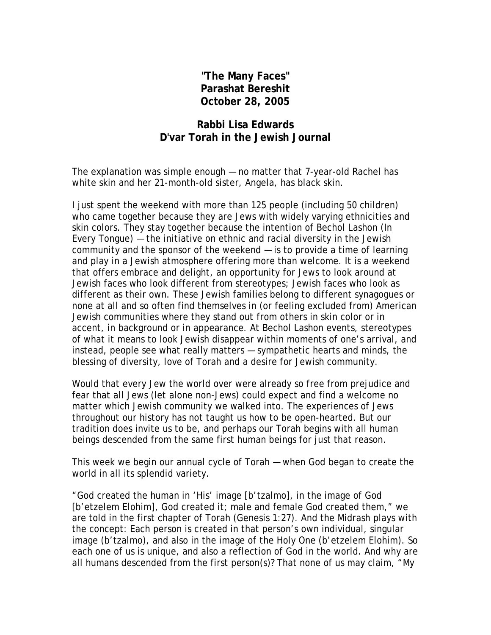## **"The Many Faces" Parashat Bereshit October 28, 2005**

## **Rabbi Lisa Edwards D'var Torah in the Jewish Journal**

The explanation was simple enough — no matter that 7-year-old Rachel has white skin and her 21-month-old sister, Angela, has black skin.

I just spent the weekend with more than 125 people (including 50 children) who came together because they are Jews with widely varying ethnicities and skin colors. They stay together because the intention of Bechol Lashon (In Every Tongue) — the initiative on ethnic and racial diversity in the Jewish community and the sponsor of the weekend — is to provide a time of learning and play in a Jewish atmosphere offering more than welcome. It is a weekend that offers embrace and delight, an opportunity for Jews to look around at Jewish faces who look different from stereotypes; Jewish faces who look as different as their own. These Jewish families belong to different synagogues or none at all and so often find themselves in (or feeling excluded from) American Jewish communities where they stand out from others in skin color or in accent, in background or in appearance. At Bechol Lashon events, stereotypes of what it means to look Jewish disappear within moments of one's arrival, and instead, people see what really matters — sympathetic hearts and minds, the blessing of diversity, love of Torah and a desire for Jewish community.

Would that every Jew the world over were already so free from prejudice and fear that all Jews (let alone non-Jews) could expect and find a welcome no matter which Jewish community we walked into. The experiences of Jews throughout our history has not taught us how to be open-hearted. But our tradition does invite us to be, and perhaps our Torah begins with all human beings descended from the same first human beings for just that reason.

This week we begin our annual cycle of Torah — when God began to create the world in all its splendid variety.

"God created the human in 'His' image [b'tzalmo], in the image of God [b'etzelem Elohim], God created it; male and female God created them," we are told in the first chapter of Torah (Genesis 1:27). And the Midrash plays with the concept: Each person is created in that person's own individual, singular image (b'tzalmo), and also in the image of the Holy One (b'etzelem Elohim). So each one of us is unique, and also a reflection of God in the world. And why are all humans descended from the first person(s)? That none of us may claim, "My